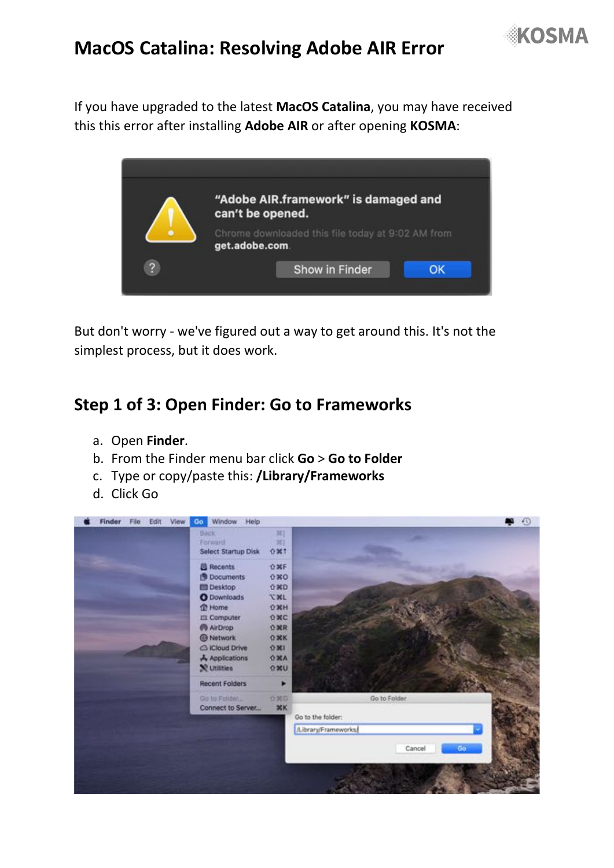

# **MacOS Catalina: Resolving Adobe AIR Error**

If you have upgraded to the latest **MacOS Catalina**, you may have received this this error after installing **Adobe AIR** or after opening **KOSMA**:



But don't worry - we've figured out a way to get around this. It's not the simplest process, but it does work.

#### **Step 1 of 3: Open Finder: Go to Frameworks**

- a. Open **Finder**.
- b. From the Finder menu bar click **Go** > **Go to Folder**
- c. Type or copy/paste this: **/Library/Frameworks**
- d. Click Go

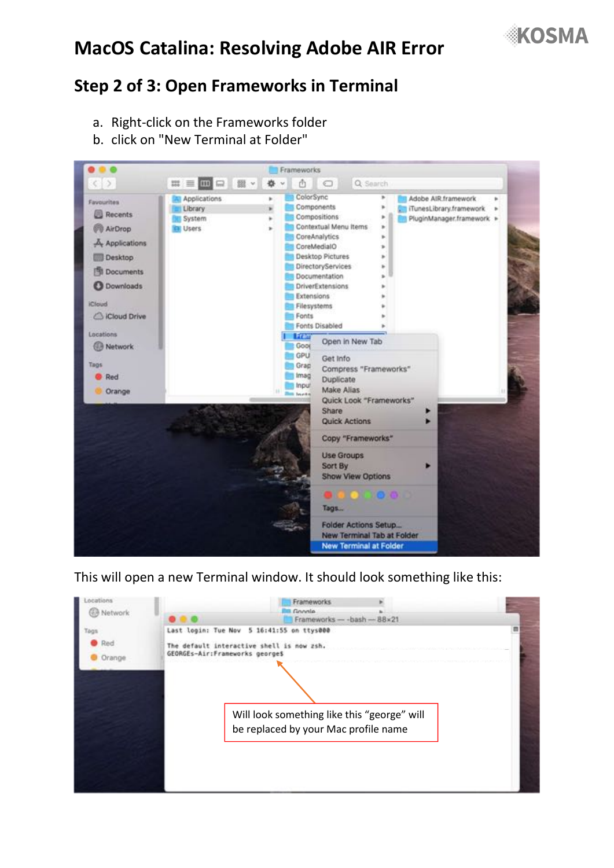

# **MacOS Catalina: Resolving Adobe AIR Error**

#### **Step 2 of 3: Open Frameworks in Terminal**

- a. Right-click on the Frameworks folder
- b. click on "New Terminal at Folder"



#### This will open a new Terminal window. It should look something like this: